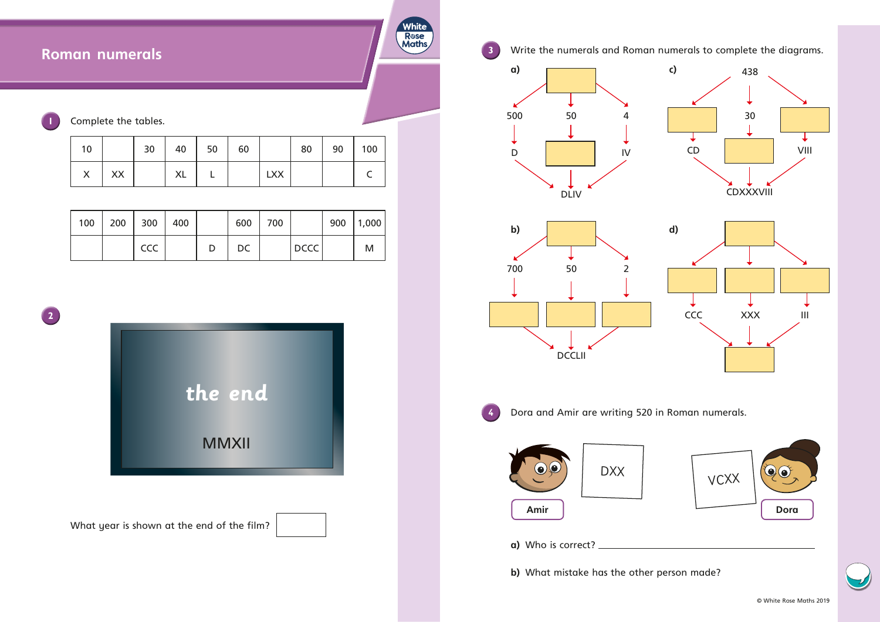## **Roman numerals**

Complete the tables.

| 10 |    | 30 | 40        | 50 | 60 |            | 80 | 90 | 100 |
|----|----|----|-----------|----|----|------------|----|----|-----|
| X  | XX |    | <b>XL</b> |    |    | <b>LXX</b> |    |    |     |

**White** Rose<br>Maths

| 100   200   300   400 |     |  | 600 | $\begin{array}{c} \begin{array}{c} \end{array} \end{array}$ |             | 900  1,000 |
|-----------------------|-----|--|-----|-------------------------------------------------------------|-------------|------------|
|                       | CCC |  | DC  |                                                             | <b>DCCC</b> | M          |

**2**





© White Rose Maths 2019